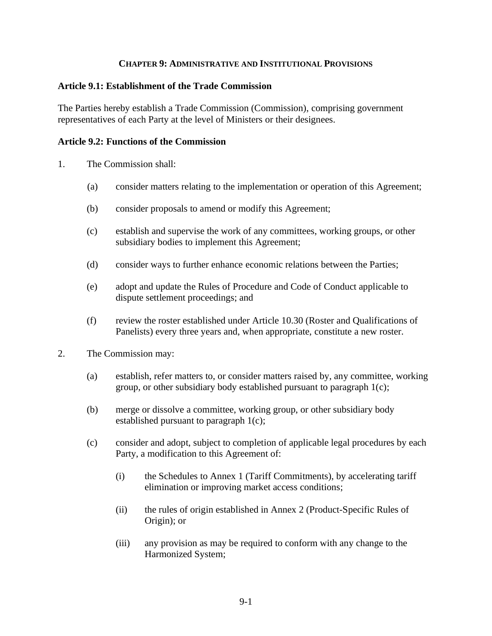### **CHAPTER 9: ADMINISTRATIVE AND INSTITUTIONAL PROVISIONS**

### **Article 9.1: Establishment of the Trade Commission**

The Parties hereby establish a Trade Commission (Commission), comprising government representatives of each Party at the level of Ministers or their designees.

#### **Article 9.2: Functions of the Commission**

- 1. The Commission shall:
	- (a) consider matters relating to the implementation or operation of this Agreement;
	- (b) consider proposals to amend or modify this Agreement;
	- (c) establish and supervise the work of any committees, working groups, or other subsidiary bodies to implement this Agreement;
	- (d) consider ways to further enhance economic relations between the Parties;
	- (e) adopt and update the Rules of Procedure and Code of Conduct applicable to dispute settlement proceedings; and
	- (f) review the roster established under Article 10.30 (Roster and Qualifications of Panelists) every three years and, when appropriate, constitute a new roster.
- 2. The Commission may:
	- (a) establish, refer matters to, or consider matters raised by, any committee, working group, or other subsidiary body established pursuant to paragraph 1(c);
	- (b) merge or dissolve a committee, working group, or other subsidiary body established pursuant to paragraph 1(c);
	- (c) consider and adopt, subject to completion of applicable legal procedures by each Party, a modification to this Agreement of:
		- (i) the Schedules to Annex 1 (Tariff Commitments), by accelerating tariff elimination or improving market access conditions;
		- (ii) the rules of origin established in Annex 2 (Product-Specific Rules of Origin); or
		- (iii) any provision as may be required to conform with any change to the Harmonized System;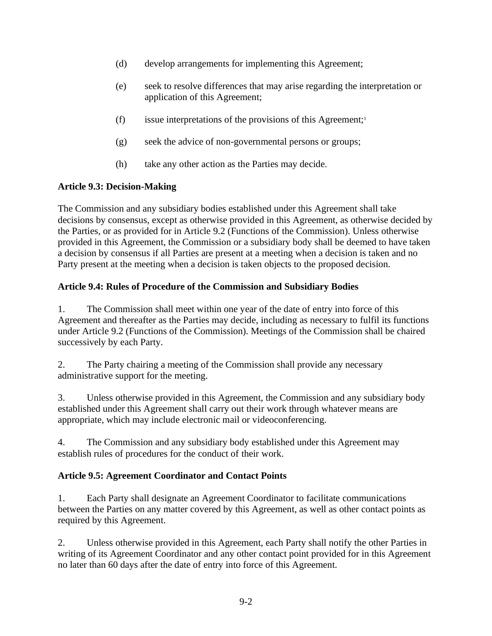- (d) develop arrangements for implementing this Agreement;
- (e) seek to resolve differences that may arise regarding the interpretation or application of this Agreement;
- (f) issue interpretations of the provisions of this Agreement;<sup>1</sup>
- (g) seek the advice of non-governmental persons or groups;
- (h) take any other action as the Parties may decide.

# **Article 9.3: Decision-Making**

The Commission and any subsidiary bodies established under this Agreement shall take decisions by consensus, except as otherwise provided in this Agreement, as otherwise decided by the Parties, or as provided for in Article 9.2 (Functions of the Commission). Unless otherwise provided in this Agreement, the Commission or a subsidiary body shall be deemed to have taken a decision by consensus if all Parties are present at a meeting when a decision is taken and no Party present at the meeting when a decision is taken objects to the proposed decision.

# **Article 9.4: Rules of Procedure of the Commission and Subsidiary Bodies**

1. The Commission shall meet within one year of the date of entry into force of this Agreement and thereafter as the Parties may decide, including as necessary to fulfil its functions under Article 9.2 (Functions of the Commission). Meetings of the Commission shall be chaired successively by each Party.

2. The Party chairing a meeting of the Commission shall provide any necessary administrative support for the meeting.

3. Unless otherwise provided in this Agreement, the Commission and any subsidiary body established under this Agreement shall carry out their work through whatever means are appropriate, which may include electronic mail or videoconferencing.

4. The Commission and any subsidiary body established under this Agreement may establish rules of procedures for the conduct of their work.

## **Article 9.5: Agreement Coordinator and Contact Points**

1. Each Party shall designate an Agreement Coordinator to facilitate communications between the Parties on any matter covered by this Agreement, as well as other contact points as required by this Agreement.

2. Unless otherwise provided in this Agreement, each Party shall notify the other Parties in writing of its Agreement Coordinator and any other contact point provided for in this Agreement no later than 60 days after the date of entry into force of this Agreement.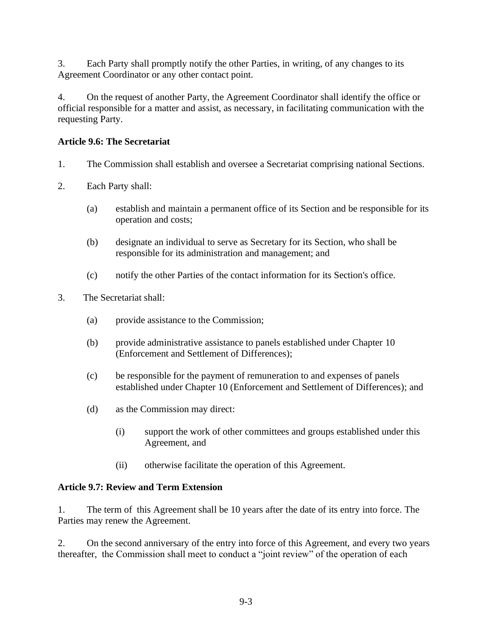3. Each Party shall promptly notify the other Parties, in writing, of any changes to its Agreement Coordinator or any other contact point.

4. On the request of another Party, the Agreement Coordinator shall identify the office or official responsible for a matter and assist, as necessary, in facilitating communication with the requesting Party.

## **Article 9.6: The Secretariat**

- 1. The Commission shall establish and oversee a Secretariat comprising national Sections.
- 2. Each Party shall:
	- (a) establish and maintain a permanent office of its Section and be responsible for its operation and costs;
	- (b) designate an individual to serve as Secretary for its Section, who shall be responsible for its administration and management; and
	- (c) notify the other Parties of the contact information for its Section's office.
- 3. The Secretariat shall:
	- (a) provide assistance to the Commission;
	- (b) provide administrative assistance to panels established under Chapter 10 (Enforcement and Settlement of Differences);
	- (c) be responsible for the payment of remuneration to and expenses of panels established under Chapter 10 (Enforcement and Settlement of Differences); and
	- (d) as the Commission may direct:
		- (i) support the work of other committees and groups established under this Agreement, and
		- (ii) otherwise facilitate the operation of this Agreement.

## **Article 9.7: Review and Term Extension**

1. The term of this Agreement shall be 10 years after the date of its entry into force. The Parties may renew the Agreement.

2. On the second anniversary of the entry into force of this Agreement, and every two years thereafter, the Commission shall meet to conduct a "joint review" of the operation of each